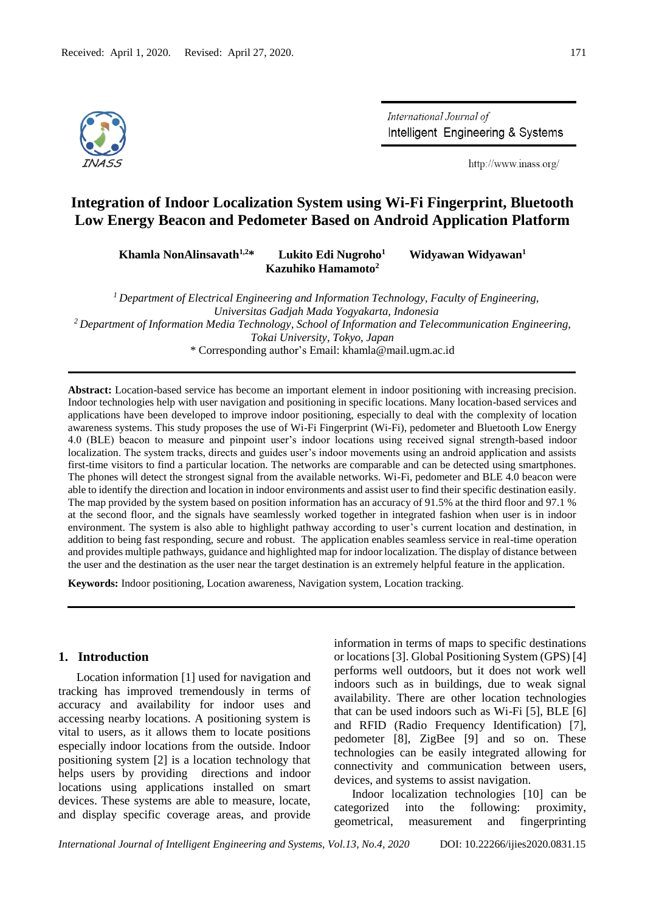

International Journal of Intelligent Engineering & Systems

http://www.inass.org/

# **Integration of Indoor Localization System using Wi-Fi Fingerprint, Bluetooth Low Energy Beacon and Pedometer Based on Android Application Platform**

**Khamla NonAlinsavath1,2\* Lukito Edi Nugroho<sup>1</sup> Widyawan Widyawan<sup>1</sup> Kazuhiko Hamamoto<sup>2</sup>**

*<sup>1</sup>Department of Electrical Engineering and Information Technology, Faculty of Engineering, Universitas Gadjah Mada Yogyakarta, Indonesia <sup>2</sup>Department of Information Media Technology, School of Information and Telecommunication Engineering, Tokai University, Tokyo, Japan* \* Corresponding author's Email: [khamla@mail.ugm.ac.id](mailto:khamla@mail.ugm.ac.id)

**Abstract:** Location-based service has become an important element in indoor positioning with increasing precision. Indoor technologies help with user navigation and positioning in specific locations. Many location-based services and applications have been developed to improve indoor positioning, especially to deal with the complexity of location awareness systems. This study proposes the use of Wi-Fi Fingerprint (Wi-Fi), pedometer and Bluetooth Low Energy 4.0 (BLE) beacon to measure and pinpoint user's indoor locations using received signal strength-based indoor localization. The system tracks, directs and guides user's indoor movements using an android application and assists first-time visitors to find a particular location. The networks are comparable and can be detected using smartphones. The phones will detect the strongest signal from the available networks. Wi-Fi, pedometer and BLE 4.0 beacon were able to identify the direction and location in indoor environments and assist user to find their specific destination easily. The map provided by the system based on position information has an accuracy of 91.5% at the third floor and 97.1 % at the second floor, and the signals have seamlessly worked together in integrated fashion when user is in indoor environment. The system is also able to highlight pathway according to user's current location and destination, in addition to being fast responding, secure and robust. The application enables seamless service in real-time operation and provides multiple pathways, guidance and highlighted map for indoor localization. The display of distance between the user and the destination as the user near the target destination is an extremely helpful feature in the application.

**Keywords:** Indoor positioning, Location awareness, Navigation system, Location tracking.

## **1. Introduction**

Location information [1] used for navigation and tracking has improved tremendously in terms of accuracy and availability for indoor uses and accessing nearby locations. A positioning system is vital to users, as it allows them to locate positions especially indoor locations from the outside. Indoor positioning system [2] is a location technology that helps users by providing directions and indoor locations using applications installed on smart devices. These systems are able to measure, locate, and display specific coverage areas, and provide information in terms of maps to specific destinations or locations [3]. Global Positioning System (GPS) [4] performs well outdoors, but it does not work well indoors such as in buildings, due to weak signal availability. There are other location technologies that can be used indoors such as Wi-Fi [5], BLE [6] and RFID (Radio Frequency Identification) [7], pedometer [8], ZigBee [9] and so on. These technologies can be easily integrated allowing for connectivity and communication between users, devices, and systems to assist navigation.

Indoor localization technologies [10] can be categorized into the following: proximity, geometrical, measurement and fingerprinting

*International Journal of Intelligent Engineering and Systems, Vol.13, No.4, 2020* DOI: 10.22266/ijies2020.0831.15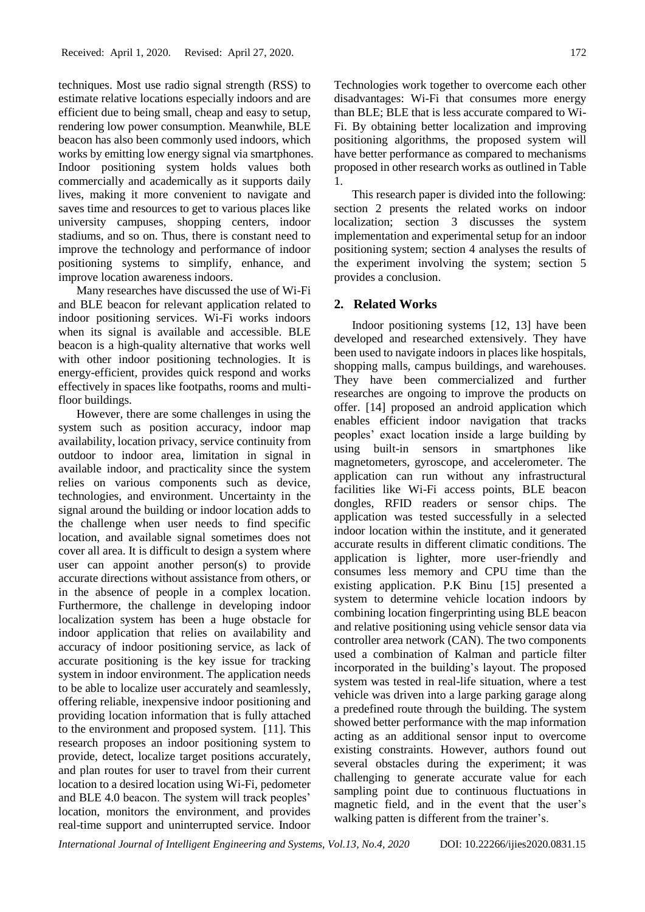techniques. Most use radio signal strength (RSS) to estimate relative locations especially indoors and are efficient due to being small, cheap and easy to setup, rendering low power consumption. Meanwhile, BLE beacon has also been commonly used indoors, which works by emitting low energy signal via smartphones. Indoor positioning system holds values both commercially and academically as it supports daily lives, making it more convenient to navigate and saves time and resources to get to various places like university campuses, shopping centers, indoor stadiums, and so on. Thus, there is constant need to improve the technology and performance of indoor positioning systems to simplify, enhance, and improve location awareness indoors.

Many researches have discussed the use of Wi-Fi and BLE beacon for relevant application related to indoor positioning services. Wi-Fi works indoors when its signal is available and accessible. BLE beacon is a high-quality alternative that works well with other indoor positioning technologies. It is energy-efficient, provides quick respond and works effectively in spaces like footpaths, rooms and multifloor buildings.

However, there are some challenges in using the system such as position accuracy, indoor map availability, location privacy, service continuity from outdoor to indoor area, limitation in signal in available indoor, and practicality since the system relies on various components such as device, technologies, and environment. Uncertainty in the signal around the building or indoor location adds to the challenge when user needs to find specific location, and available signal sometimes does not cover all area. It is difficult to design a system where user can appoint another person(s) to provide accurate directions without assistance from others, or in the absence of people in a complex location. Furthermore, the challenge in developing indoor localization system has been a huge obstacle for indoor application that relies on availability and accuracy of indoor positioning service, as lack of accurate positioning is the key issue for tracking system in indoor environment. The application needs to be able to localize user accurately and seamlessly, offering reliable, inexpensive indoor positioning and providing location information that is fully attached to the environment and proposed system. [11]. This research proposes an indoor positioning system to provide, detect, localize target positions accurately, and plan routes for user to travel from their current location to a desired location using Wi-Fi, pedometer and BLE 4.0 beacon. The system will track peoples' location, monitors the environment, and provides real-time support and uninterrupted service. Indoor

Technologies work together to overcome each other disadvantages: Wi-Fi that consumes more energy than BLE; BLE that is less accurate compared to Wi-Fi. By obtaining better localization and improving positioning algorithms, the proposed system will have better performance as compared to mechanisms proposed in other research works as outlined in Table 1.

This research paper is divided into the following: section 2 presents the related works on indoor localization; section 3 discusses the system implementation and experimental setup for an indoor positioning system; section 4 analyses the results of the experiment involving the system; section 5 provides a conclusion.

### **2. Related Works**

Indoor positioning systems [12, 13] have been developed and researched extensively. They have been used to navigate indoors in places like hospitals, shopping malls, campus buildings, and warehouses. They have been commercialized and further researches are ongoing to improve the products on offer. [14] proposed an android application which enables efficient indoor navigation that tracks peoples' exact location inside a large building by using built-in sensors in smartphones like magnetometers, gyroscope, and accelerometer. The application can run without any infrastructural facilities like Wi-Fi access points, BLE beacon dongles, RFID readers or sensor chips. The application was tested successfully in a selected indoor location within the institute, and it generated accurate results in different climatic conditions. The application is lighter, more user-friendly and consumes less memory and CPU time than the existing application. P.K Binu [15] presented a system to determine vehicle location indoors by combining location fingerprinting using BLE beacon and relative positioning using vehicle sensor data via controller area network (CAN). The two components used a combination of Kalman and particle filter incorporated in the building's layout. The proposed system was tested in real-life situation, where a test vehicle was driven into a large parking garage along a predefined route through the building. The system showed better performance with the map information acting as an additional sensor input to overcome existing constraints. However, authors found out several obstacles during the experiment; it was challenging to generate accurate value for each sampling point due to continuous fluctuations in magnetic field, and in the event that the user's walking patten is different from the trainer's.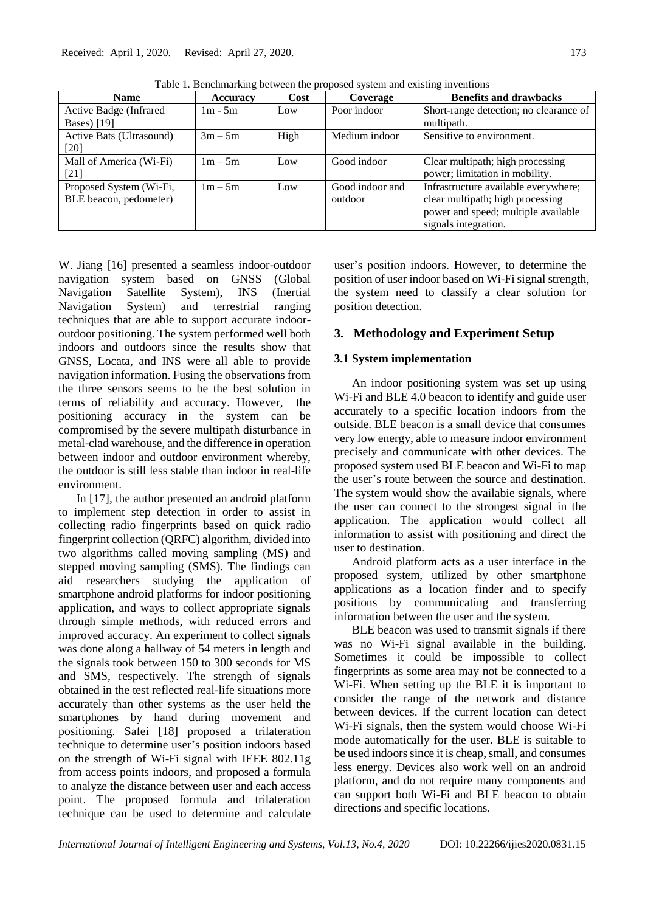| <b>Name</b>              | Accuracy  | Cost | Coverage        | <b>Benefits and drawbacks</b>          |
|--------------------------|-----------|------|-----------------|----------------------------------------|
| Active Badge (Infrared   | $1m - 5m$ | Low  | Poor indoor     | Short-range detection; no clearance of |
| Bases) [19]              |           |      |                 | multipath.                             |
| Active Bats (Ultrasound) | $3m - 5m$ | High | Medium indoor   | Sensitive to environment.              |
| [20]                     |           |      |                 |                                        |
| Mall of America (Wi-Fi)  | $1m - 5m$ | Low  | Good indoor     | Clear multipath; high processing       |
| [21]                     |           |      |                 | power; limitation in mobility.         |
| Proposed System (Wi-Fi,  | $1m - 5m$ | Low  | Good indoor and | Infrastructure available everywhere;   |
| BLE beacon, pedometer)   |           |      | outdoor         | clear multipath; high processing       |
|                          |           |      |                 | power and speed; multiple available    |
|                          |           |      |                 | signals integration.                   |

Table 1*.* Benchmarking between the proposed system and existing inventions

W. Jiang [16] presented a seamless indoor-outdoor navigation system based on GNSS (Global Navigation Satellite System), INS (Inertial Navigation System) and terrestrial ranging techniques that are able to support accurate indooroutdoor positioning. The system performed well both indoors and outdoors since the results show that GNSS, Locata, and INS were all able to provide navigation information. Fusing the observations from the three sensors seems to be the best solution in terms of reliability and accuracy. However, the positioning accuracy in the system can be compromised by the severe multipath disturbance in metal-clad warehouse, and the difference in operation between indoor and outdoor environment whereby, the outdoor is still less stable than indoor in real-life environment.

In [17], the author presented an android platform to implement step detection in order to assist in collecting radio fingerprints based on quick radio fingerprint collection (QRFC) algorithm, divided into two algorithms called moving sampling (MS) and stepped moving sampling (SMS). The findings can aid researchers studying the application of smartphone android platforms for indoor positioning application, and ways to collect appropriate signals through simple methods, with reduced errors and improved accuracy. An experiment to collect signals was done along a hallway of 54 meters in length and the signals took between 150 to 300 seconds for MS and SMS, respectively. The strength of signals obtained in the test reflected real-life situations more accurately than other systems as the user held the smartphones by hand during movement and positioning. Safei [18] proposed a trilateration technique to determine user's position indoors based on the strength of Wi-Fi signal with IEEE 802.11g from access points indoors, and proposed a formula to analyze the distance between user and each access point. The proposed formula and trilateration technique can be used to determine and calculate user's position indoors. However, to determine the position of user indoor based on Wi-Fi signal strength, the system need to classify a clear solution for position detection.

## **3. Methodology and Experiment Setup**

## **3.1 System implementation**

An indoor positioning system was set up using Wi-Fi and BLE 4.0 beacon to identify and guide user accurately to a specific location indoors from the outside. BLE beacon is a small device that consumes very low energy, able to measure indoor environment precisely and communicate with other devices. The proposed system used BLE beacon and Wi-Fi to map the user's route between the source and destination. The system would show the availabie signals, where the user can connect to the strongest signal in the application. The application would collect all information to assist with positioning and direct the user to destination.

Android platform acts as a user interface in the proposed system, utilized by other smartphone applications as a location finder and to specify positions by communicating and transferring information between the user and the system.

BLE beacon was used to transmit signals if there was no Wi-Fi signal available in the building. Sometimes it could be impossible to collect fingerprints as some area may not be connected to a Wi-Fi. When setting up the BLE it is important to consider the range of the network and distance between devices. If the current location can detect Wi-Fi signals, then the system would choose Wi-Fi mode automatically for the user. BLE is suitable to be used indoors since it is cheap, small, and consumes less energy. Devices also work well on an android platform, and do not require many components and can support both Wi-Fi and BLE beacon to obtain directions and specific locations.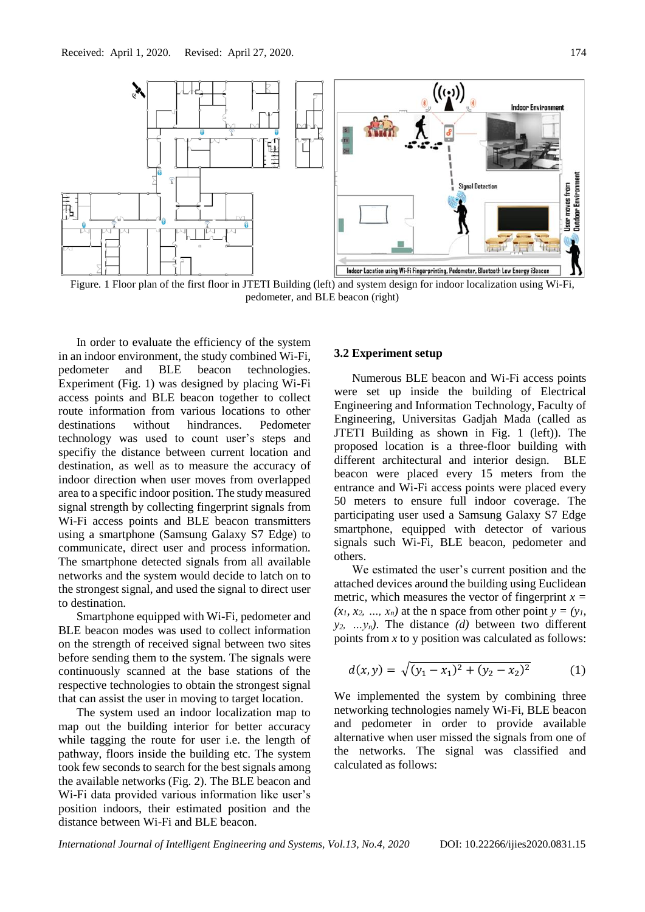

Figure*.* 1 Floor plan of the first floor in JTETI Building (left) and system design for indoor localization using Wi-Fi, pedometer, and BLE beacon (right)

In order to evaluate the efficiency of the system in an indoor environment, the study combined Wi-Fi, pedometer and BLE beacon technologies. Experiment (Fig. 1) was designed by placing Wi-Fi access points and BLE beacon together to collect route information from various locations to other destinations without hindrances. Pedometer technology was used to count user's steps and specifiy the distance between current location and destination, as well as to measure the accuracy of indoor direction when user moves from overlapped area to a specific indoor position. The study measured signal strength by collecting fingerprint signals from Wi-Fi access points and BLE beacon transmitters using a smartphone (Samsung Galaxy S7 Edge) to communicate, direct user and process information. The smartphone detected signals from all available networks and the system would decide to latch on to the strongest signal, and used the signal to direct user to destination.

Smartphone equipped with Wi-Fi, pedometer and BLE beacon modes was used to collect information on the strength of received signal between two sites before sending them to the system. The signals were continuously scanned at the base stations of the respective technologies to obtain the strongest signal that can assist the user in moving to target location.

The system used an indoor localization map to map out the building interior for better accuracy while tagging the route for user i.e. the length of pathway, floors inside the building etc. The system took few seconds to search for the best signals among the available networks (Fig. 2). The BLE beacon and Wi-Fi data provided various information like user's position indoors, their estimated position and the distance between Wi-Fi and BLE beacon.

#### **3.2 Experiment setup**

Numerous BLE beacon and Wi-Fi access points were set up inside the building of Electrical Engineering and Information Technology, Faculty of Engineering, Universitas Gadjah Mada (called as JTETI Building as shown in Fig. 1 (left)). The proposed location is a three-floor building with different architectural and interior design. BLE beacon were placed every 15 meters from the entrance and Wi-Fi access points were placed every 50 meters to ensure full indoor coverage. The participating user used a Samsung Galaxy S7 Edge smartphone, equipped with detector of various signals such Wi-Fi, BLE beacon, pedometer and others.

We estimated the user's current position and the attached devices around the building using Euclidean metric, which measures the vector of fingerprint  $x =$  $(x_1, x_2, \ldots, x_n)$  at the n space from other point  $y = (y_1, y_2, \ldots, y_n)$  $y_2$ , ...  $y_n$ ). The distance *(d)* between two different points from *x* to y position was calculated as follows:

$$
d(x,y) = \sqrt{(y_1 - x_1)^2 + (y_2 - x_2)^2}
$$
 (1)

We implemented the system by combining three networking technologies namely Wi-Fi, BLE beacon and pedometer in order to provide available alternative when user missed the signals from one of the networks. The signal was classified and calculated as follows: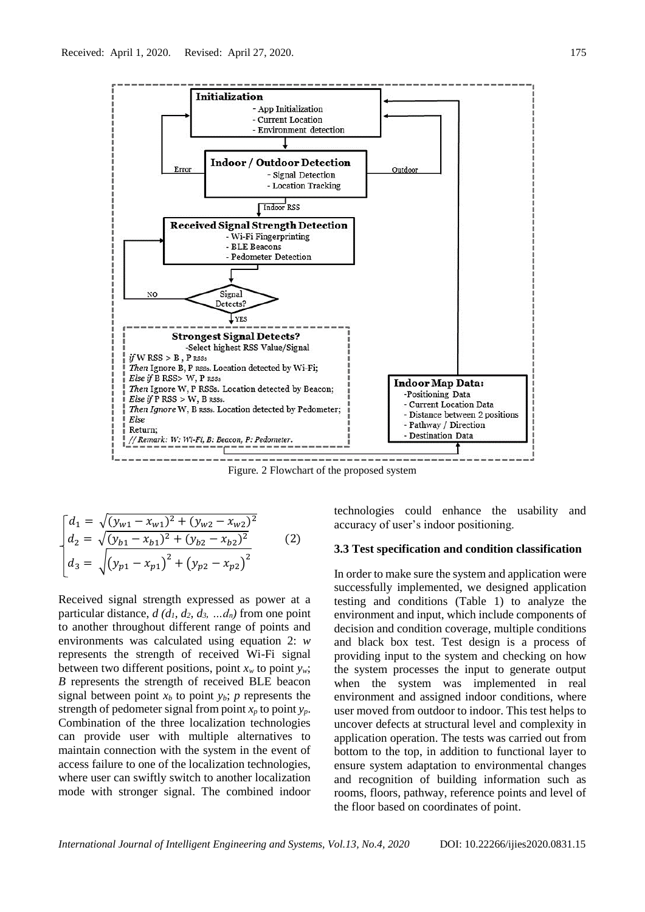

Figure*.* 2 Flowchart of the proposed system

$$
\begin{bmatrix}\nd_1 = \sqrt{(y_{w1} - x_{w1})^2 + (y_{w2} - x_{w2})^2} \\
d_2 = \sqrt{(y_{b1} - x_{b1})^2 + (y_{b2} - x_{b2})^2} \\
d_3 = \sqrt{(y_{p1} - x_{p1})^2 + (y_{p2} - x_{p2})^2}\n\end{bmatrix}
$$
\n(2)

Received signal strength expressed as power at a particular distance,  $d$  ( $d_1$ ,  $d_2$ ,  $d_3$ , ... $d_n$ ) from one point to another throughout different range of points and environments was calculated using equation 2: *w* represents the strength of received Wi-Fi signal between two different positions, point  $x_w$  to point  $y_w$ ; *B* represents the strength of received BLE beacon signal between point  $x_b$  to point  $y_b$ ; *p* represents the strength of pedometer signal from point  $x_p$  to point  $y_p$ . Combination of the three localization technologies can provide user with multiple alternatives to maintain connection with the system in the event of access failure to one of the localization technologies, where user can swiftly switch to another localization mode with stronger signal. The combined indoor technologies could enhance the usability and accuracy of user's indoor positioning.

#### **3.3 Test specification and condition classification**

In order to make sure the system and application were successfully implemented, we designed application testing and conditions (Table 1) to analyze the environment and input, which include components of decision and condition coverage, multiple conditions and black box test. Test design is a process of providing input to the system and checking on how the system processes the input to generate output when the system was implemented in real environment and assigned indoor conditions, where user moved from outdoor to indoor. This test helps to uncover defects at structural level and complexity in application operation. The tests was carried out from bottom to the top, in addition to functional layer to ensure system adaptation to environmental changes and recognition of building information such as rooms, floors, pathway, reference points and level of the floor based on coordinates of point.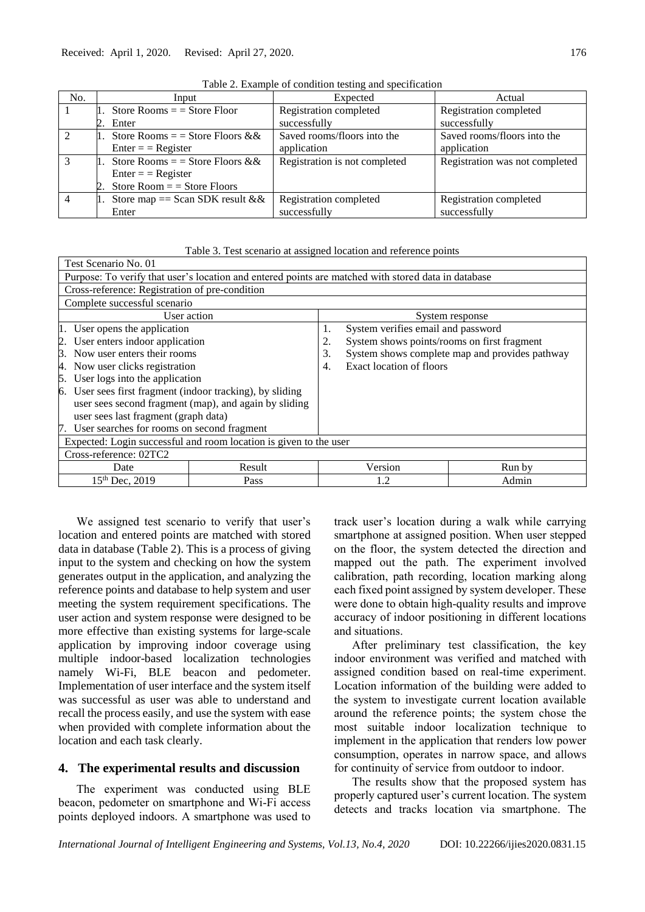| No.            | Input                                   | Expected                      | Actual                         |
|----------------|-----------------------------------------|-------------------------------|--------------------------------|
|                | 1. Store Rooms $=$ $=$ Store Floor      | Registration completed        | Registration completed         |
|                | 2. Enter                                | successfully                  | successfully                   |
| $\mathcal{L}$  | 1. Store Rooms = = Store Floors & &     | Saved rooms/floors into the   | Saved rooms/floors into the    |
|                | $Enter = Register$                      | application                   | application                    |
| $\mathcal{R}$  | 1. Store Rooms = = Store Floors & &     | Registration is not completed | Registration was not completed |
|                | $Enter = Register$                      |                               |                                |
|                | 2. Store Room $=$ $=$ Store Floors      |                               |                                |
| $\overline{4}$ | 1. Store map == Scan SDK result $&&\&&$ | Registration completed        | Registration completed         |
|                | Enter                                   | successfully                  | successfully                   |

Table 2. Example of condition testing and specification

|  | Table 3. Test scenario at assigned location and reference points |  |  |
|--|------------------------------------------------------------------|--|--|
|  |                                                                  |  |  |

| Test Scenario No. 01                                                                                |        |  |                                                      |        |  |  |
|-----------------------------------------------------------------------------------------------------|--------|--|------------------------------------------------------|--------|--|--|
| Purpose: To verify that user's location and entered points are matched with stored data in database |        |  |                                                      |        |  |  |
| Cross-reference: Registration of pre-condition                                                      |        |  |                                                      |        |  |  |
| Complete successful scenario                                                                        |        |  |                                                      |        |  |  |
| User action                                                                                         |        |  | System response                                      |        |  |  |
| 1. User opens the application                                                                       |        |  | System verifies email and password<br>1.             |        |  |  |
| 2. User enters indoor application                                                                   |        |  | System shows points/rooms on first fragment<br>2.    |        |  |  |
| 3. Now user enters their rooms                                                                      |        |  | System shows complete map and provides pathway<br>3. |        |  |  |
| Now user clicks registration<br>4.                                                                  |        |  | Exact location of floors<br>4.                       |        |  |  |
| User logs into the application<br>5.                                                                |        |  |                                                      |        |  |  |
| 6. User sees first fragment (indoor tracking), by sliding                                           |        |  |                                                      |        |  |  |
| user sees second fragment (map), and again by sliding                                               |        |  |                                                      |        |  |  |
| user sees last fragment (graph data)                                                                |        |  |                                                      |        |  |  |
| 7. User searches for rooms on second fragment                                                       |        |  |                                                      |        |  |  |
| Expected: Login successful and room location is given to the user                                   |        |  |                                                      |        |  |  |
| Cross-reference: 02TC2                                                                              |        |  |                                                      |        |  |  |
| Date                                                                                                | Result |  | Version                                              | Run by |  |  |
| $15th$ Dec, 2019<br>Pass<br>1.2<br>Admin                                                            |        |  |                                                      |        |  |  |

We assigned test scenario to verify that user's location and entered points are matched with stored data in database (Table 2). This is a process of giving input to the system and checking on how the system generates output in the application, and analyzing the reference points and database to help system and user meeting the system requirement specifications. The user action and system response were designed to be more effective than existing systems for large-scale application by improving indoor coverage using multiple indoor-based localization technologies namely Wi-Fi, BLE beacon and pedometer. Implementation of user interface and the system itself was successful as user was able to understand and recall the process easily, and use the system with ease when provided with complete information about the location and each task clearly.

### **4. The experimental results and discussion**

The experiment was conducted using BLE beacon, pedometer on smartphone and Wi-Fi access points deployed indoors. A smartphone was used to

track user's location during a walk while carrying smartphone at assigned position. When user stepped on the floor, the system detected the direction and mapped out the path. The experiment involved calibration, path recording, location marking along each fixed point assigned by system developer. These were done to obtain high-quality results and improve accuracy of indoor positioning in different locations and situations.

After preliminary test classification, the key indoor environment was verified and matched with assigned condition based on real-time experiment. Location information of the building were added to the system to investigate current location available around the reference points; the system chose the most suitable indoor localization technique to implement in the application that renders low power consumption, operates in narrow space, and allows for continuity of service from outdoor to indoor.

The results show that the proposed system has properly captured user's current location. The system detects and tracks location via smartphone. The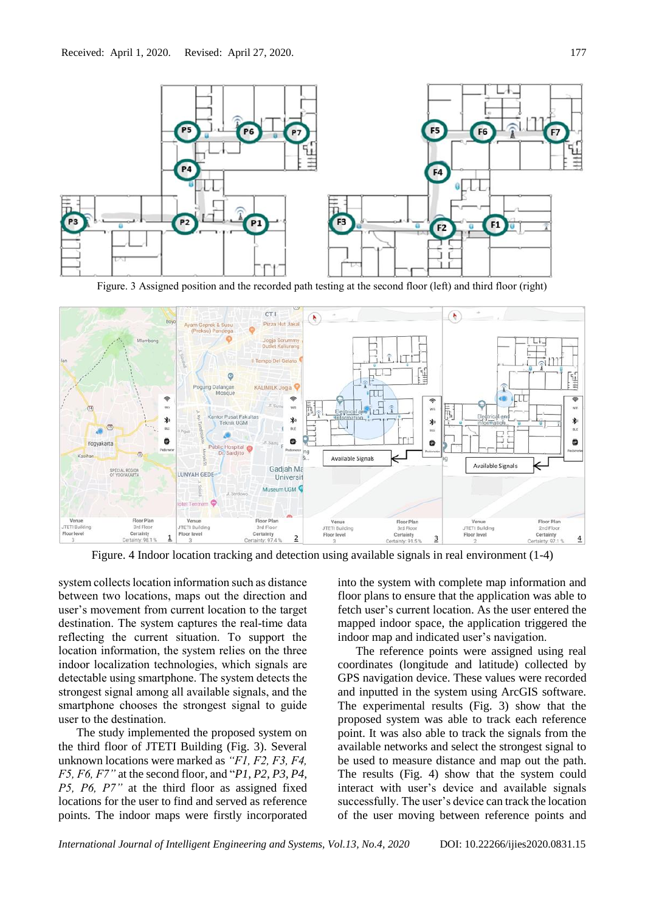

Figure. 3 Assigned position and the recorded path testing at the second floor (left) and third floor (right)



Figure. 4 Indoor location tracking and detection using available signals in real environment (1-4)

system collects location information such as distance between two locations, maps out the direction and user's movement from current location to the target destination. The system captures the real-time data reflecting the current situation. To support the location information, the system relies on the three indoor localization technologies, which signals are detectable using smartphone. The system detects the strongest signal among all available signals, and the smartphone chooses the strongest signal to guide user to the destination.

The study implemented the proposed system on the third floor of JTETI Building (Fig. 3). Several unknown locations were marked as *"F1, F2, F3, F4, F5, F6, F7"* at the second floor, and "*P1, P2, P3, P4, P5, P6, P7"* at the third floor as assigned fixed locations for the user to find and served as reference points. The indoor maps were firstly incorporated into the system with complete map information and floor plans to ensure that the application was able to fetch user's current location. As the user entered the mapped indoor space, the application triggered the indoor map and indicated user's navigation.

The reference points were assigned using real coordinates (longitude and latitude) collected by GPS navigation device. These values were recorded and inputted in the system using ArcGIS software. The experimental results (Fig. 3) show that the proposed system was able to track each reference point. It was also able to track the signals from the available networks and select the strongest signal to be used to measure distance and map out the path. The results (Fig. 4) show that the system could interact with user's device and available signals successfully. The user's device can track the location of the user moving between reference points and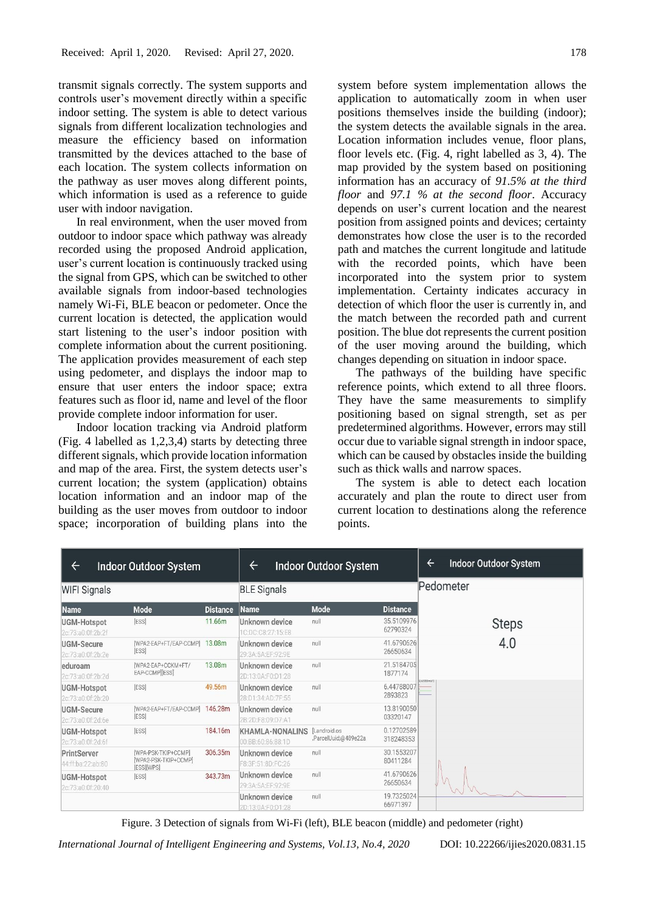transmit signals correctly. The system supports and controls user's movement directly within a specific indoor setting. The system is able to detect various signals from different localization technologies and measure the efficiency based on information transmitted by the devices attached to the base of each location. The system collects information on the pathway as user moves along different points, which information is used as a reference to guide user with indoor navigation.

In real environment, when the user moved from outdoor to indoor space which pathway was already recorded using the proposed Android application, user's current location is continuously tracked using the signal from GPS, which can be switched to other available signals from indoor-based technologies namely Wi-Fi, BLE beacon or pedometer. Once the current location is detected, the application would start listening to the user's indoor position with complete information about the current positioning. The application provides measurement of each step using pedometer, and displays the indoor map to ensure that user enters the indoor space; extra features such as floor id, name and level of the floor provide complete indoor information for user.

Indoor location tracking via Android platform (Fig. 4 labelled as 1,2,3,4) starts by detecting three different signals, which provide location information and map of the area. First, the system detects user's current location; the system (application) obtains location information and an indoor map of the building as the user moves from outdoor to indoor space; incorporation of building plans into the system before system implementation allows the application to automatically zoom in when user positions themselves inside the building (indoor); the system detects the available signals in the area. Location information includes venue, floor plans, floor levels etc. (Fig. 4, right labelled as 3, 4). The map provided by the system based on positioning information has an accuracy of *91.5% at the third floor* and *97.1 % at the second floor*. Accuracy depends on user's current location and the nearest position from assigned points and devices; certainty demonstrates how close the user is to the recorded path and matches the current longitude and latitude with the recorded points, which have been incorporated into the system prior to system implementation. Certainty indicates accuracy in detection of which floor the user is currently in, and the match between the recorded path and current position. The blue dot represents the current position of the user moving around the building, which changes depending on situation in indoor space.

The pathways of the building have specific reference points, which extend to all three floors. They have the same measurements to simplify positioning based on signal strength, set as per predetermined algorithms. However, errors may still occur due to variable signal strength in indoor space, which can be caused by obstacles inside the building such as thick walls and narrow spaces.

The system is able to detect each location accurately and plan the route to direct user from current location to destinations along the reference points.

| $\leftarrow$                            | <b>Indoor Outdoor System</b>                              |                 |                                             | <b>Indoor Outdoor System</b>          |                         | <b>Indoor Outdoor System</b><br>$\leftarrow$ |  |  |
|-----------------------------------------|-----------------------------------------------------------|-----------------|---------------------------------------------|---------------------------------------|-------------------------|----------------------------------------------|--|--|
| <b>WIFI Signals</b>                     |                                                           |                 | <b>BLE Signals</b>                          |                                       |                         | Pedometer                                    |  |  |
| <b>Name</b>                             | <b>Mode</b>                                               | <b>Distance</b> | <b>Name</b>                                 | <b>Mode</b>                           | <b>Distance</b>         |                                              |  |  |
| <b>UGM-Hotspot</b><br>2c:73:a0:0f:2b:2f | <b>[ESS]</b>                                              | 11.66m          | Unknown device<br>C:DC:C8:27:15:E8          | null                                  | 35.5109976<br>62790324  | <b>Steps</b>                                 |  |  |
| <b>UGM-Secure</b><br>2c:73:a0:0f:2b:2e  | [WPA2-EAP+FT/EAP-CCMP]<br><b>[ESS]</b>                    | 13.08m          | Unknown device<br>29:3A:5A:EF:92:9E         | null                                  | 41.6790626<br>26650634  | 4.0                                          |  |  |
| eduroam<br>2c:73:a0:0f:2b:2d            | [WPA2-EAP+CCKM+FT/<br>EAP-CCMPIESSI                       | 13.08m          | Unknown device<br>2D:13:0A:F0:D1:28         | null                                  | 21.5184705<br>1877174   | $698253 \, m/s$ <sup>4</sup>                 |  |  |
| UGM-Hotspot<br>2c:73:a0:0f:2b:20        | [ESS]                                                     | 49.56m          | Unknown device<br>28:D1:34:AD:7F:55         | null                                  | 6.44788007<br>2893823   |                                              |  |  |
| <b>UGM-Secure</b><br>2c:73:a0:0f:2d:6e  | [WPA2-EAP+FT/EAP-CCMP]<br><b>[ESS]</b>                    | 146,28m         | Unknown device<br>2B:2D:F8:09:D7:A1         | null                                  | 13.8190050<br>03320147  |                                              |  |  |
| <b>UGM-Hotspot</b><br>2c:73:a0:0f:2d:6f | <b>IESSI</b>                                              | 184.16m         | <b>KHAMLA-NONALINS</b><br>00:BB:60:86:88:1D | [Landroid.os]<br>.ParcelUuid;@489e22a | 0.12702589<br>318248353 |                                              |  |  |
| PrintServer<br>44:ff:ba:22:ab:80        | [WPA-PSK-TKIP+CCMP]<br>[WPA2-PSK-TKIP+CCMP]<br>[ESS][WPS] | 306.35m         | Unknown device<br>F8:3F:51:8D:FC:26         | null                                  | 30.1553207<br>80411284  |                                              |  |  |
| <b>UGM-Hotspot</b><br>2c:73:a0:0f:20:40 | <b>IESSI</b>                                              | 343.73m         | Unknown device<br>29:3A:5A:EF:92:9E         | null                                  | 41.6790626<br>26650634  |                                              |  |  |
|                                         |                                                           |                 | Unknown device<br>2D:13:0A:F0:D1:28         | null                                  | 19.7325024<br>66971397  |                                              |  |  |

Figure. 3 Detection of signals from Wi-Fi (left), BLE beacon (middle) and pedometer (right)

*International Journal of Intelligent Engineering and Systems, Vol.13, No.4, 2020* DOI: 10.22266/ijies2020.0831.15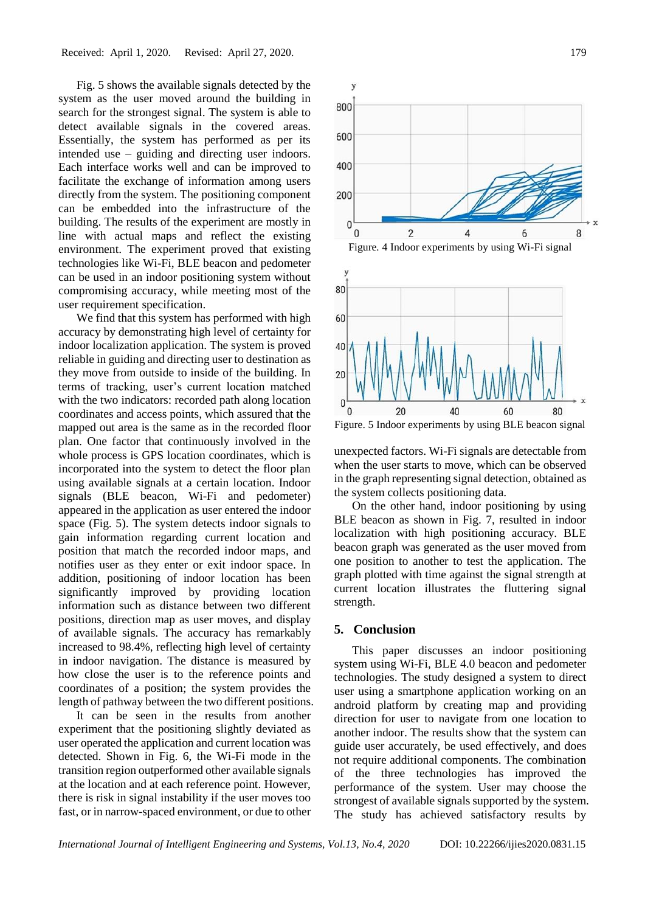Fig. 5 shows the available signals detected by the system as the user moved around the building in search for the strongest signal. The system is able to detect available signals in the covered areas. Essentially, the system has performed as per its intended use – guiding and directing user indoors. Each interface works well and can be improved to facilitate the exchange of information among users directly from the system. The positioning component can be embedded into the infrastructure of the building. The results of the experiment are mostly in line with actual maps and reflect the existing environment. The experiment proved that existing technologies like Wi-Fi, BLE beacon and pedometer can be used in an indoor positioning system without compromising accuracy, while meeting most of the user requirement specification.

We find that this system has performed with high accuracy by demonstrating high level of certainty for indoor localization application. The system is proved reliable in guiding and directing user to destination as they move from outside to inside of the building. In terms of tracking, user's current location matched with the two indicators: recorded path along location coordinates and access points, which assured that the mapped out area is the same as in the recorded floor plan. One factor that continuously involved in the whole process is GPS location coordinates, which is incorporated into the system to detect the floor plan using available signals at a certain location. Indoor signals (BLE beacon, Wi-Fi and pedometer) appeared in the application as user entered the indoor space (Fig. 5). The system detects indoor signals to gain information regarding current location and position that match the recorded indoor maps, and notifies user as they enter or exit indoor space. In addition, positioning of indoor location has been significantly improved by providing location information such as distance between two different positions, direction map as user moves, and display of available signals. The accuracy has remarkably increased to 98.4%, reflecting high level of certainty in indoor navigation. The distance is measured by how close the user is to the reference points and coordinates of a position; the system provides the length of pathway between the two different positions.

It can be seen in the results from another experiment that the positioning slightly deviated as user operated the application and current location was detected. Shown in Fig. 6, the Wi-Fi mode in the transition region outperformed other available signals at the location and at each reference point. However, there is risk in signal instability if the user moves too fast, or in narrow-spaced environment, or due to other



Figure. 5 Indoor experiments by using BLE beacon signal

unexpected factors. Wi-Fi signals are detectable from when the user starts to move, which can be observed in the graph representing signal detection, obtained as the system collects positioning data.

On the other hand, indoor positioning by using BLE beacon as shown in Fig. 7, resulted in indoor localization with high positioning accuracy. BLE beacon graph was generated as the user moved from one position to another to test the application. The graph plotted with time against the signal strength at current location illustrates the fluttering signal strength.

#### **5. Conclusion**

This paper discusses an indoor positioning system using Wi-Fi, BLE 4.0 beacon and pedometer technologies. The study designed a system to direct user using a smartphone application working on an android platform by creating map and providing direction for user to navigate from one location to another indoor. The results show that the system can guide user accurately, be used effectively, and does not require additional components. The combination of the three technologies has improved the performance of the system. User may choose the strongest of available signals supported by the system. The study has achieved satisfactory results by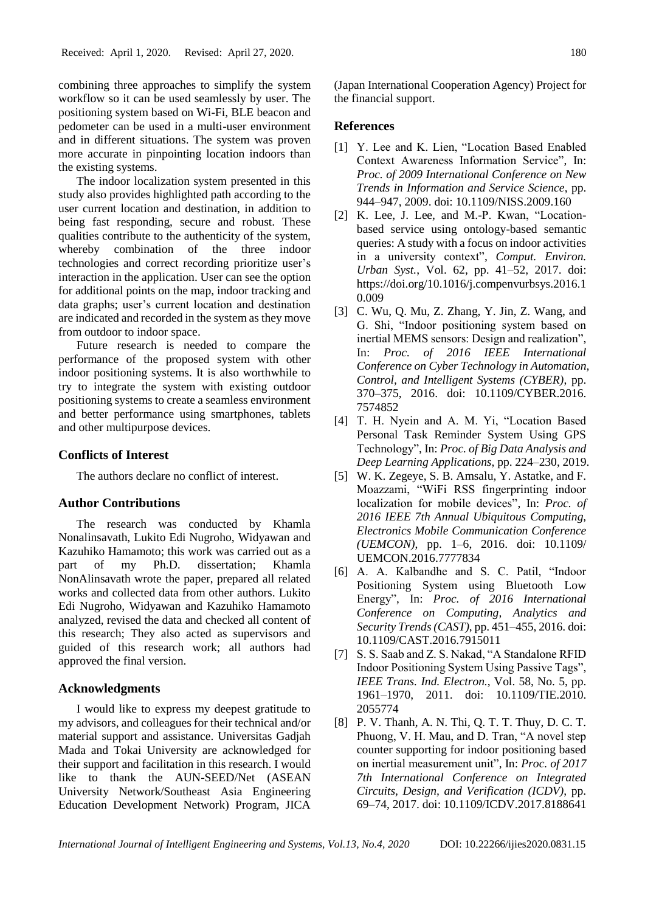combining three approaches to simplify the system workflow so it can be used seamlessly by user. The positioning system based on Wi-Fi, BLE beacon and pedometer can be used in a multi-user environment and in different situations. The system was proven more accurate in pinpointing location indoors than the existing systems.

The indoor localization system presented in this study also provides highlighted path according to the user current location and destination, in addition to being fast responding, secure and robust. These qualities contribute to the authenticity of the system, whereby combination of the three indoor technologies and correct recording prioritize user's interaction in the application. User can see the option for additional points on the map, indoor tracking and data graphs; user's current location and destination are indicated and recorded in the system as they move from outdoor to indoor space.

Future research is needed to compare the performance of the proposed system with other indoor positioning systems. It is also worthwhile to try to integrate the system with existing outdoor positioning systems to create a seamless environment and better performance using smartphones, tablets and other multipurpose devices.

#### **Conflicts of Interest**

The authors declare no conflict of interest.

#### **Author Contributions**

The research was conducted by Khamla Nonalinsavath, Lukito Edi Nugroho, Widyawan and Kazuhiko Hamamoto; this work was carried out as a part of my Ph.D. dissertation; Khamla NonAlinsavath wrote the paper, prepared all related works and collected data from other authors. Lukito Edi Nugroho, Widyawan and Kazuhiko Hamamoto analyzed, revised the data and checked all content of this research; They also acted as supervisors and guided of this research work; all authors had approved the final version.

### **Acknowledgments**

I would like to express my deepest gratitude to my advisors, and colleagues for their technical and/or material support and assistance. Universitas Gadjah Mada and Tokai University are acknowledged for their support and facilitation in this research. I would like to thank the AUN-SEED/Net (ASEAN University Network/Southeast Asia Engineering Education Development Network) Program, JICA (Japan International Cooperation Agency) Project for the financial support.

#### **References**

- [1] Y. Lee and K. Lien, "Location Based Enabled Context Awareness Information Service", In: *Proc. of 2009 International Conference on New Trends in Information and Service Science*, pp. 944–947, 2009. doi: 10.1109/NISS.2009.160
- [2] K. Lee, J. Lee, and M.-P. Kwan, "Locationbased service using ontology-based semantic queries: A study with a focus on indoor activities in a university context", *Comput. Environ. Urban Syst.*, Vol. 62, pp. 41–52, 2017. doi: https://doi.org/10.1016/j.compenvurbsys.2016.1 0.009
- [3] C. Wu, Q. Mu, Z. Zhang, Y. Jin, Z. Wang, and G. Shi, "Indoor positioning system based on inertial MEMS sensors: Design and realization", In: *Proc. of 2016 IEEE International Conference on Cyber Technology in Automation, Control, and Intelligent Systems (CYBER)*, pp. 370–375, 2016. doi: 10.1109/CYBER.2016. 7574852
- [4] T. H. Nyein and A. M. Yi, "Location Based Personal Task Reminder System Using GPS Technology", In: *Proc. of Big Data Analysis and Deep Learning Applications*, pp. 224–230, 2019.
- [5] W. K. Zegeye, S. B. Amsalu, Y. Astatke, and F. Moazzami, "WiFi RSS fingerprinting indoor localization for mobile devices", In: *Proc. of 2016 IEEE 7th Annual Ubiquitous Computing, Electronics Mobile Communication Conference (UEMCON)*, pp. 1–6, 2016. doi: 10.1109/ UEMCON.2016.7777834
- [6] A. A. Kalbandhe and S. C. Patil, "Indoor Positioning System using Bluetooth Low Energy", In: *Proc. of 2016 International Conference on Computing, Analytics and Security Trends (CAST)*, pp. 451–455, 2016. doi: 10.1109/CAST.2016.7915011
- [7] S. S. Saab and Z. S. Nakad, "A Standalone RFID Indoor Positioning System Using Passive Tags", *IEEE Trans. Ind. Electron.*, Vol. 58, No. 5, pp. 1961–1970, 2011. doi: 10.1109/TIE.2010. 2055774
- [8] P. V. Thanh, A. N. Thi, Q. T. T. Thuy, D. C. T. Phuong, V. H. Mau, and D. Tran, "A novel step counter supporting for indoor positioning based on inertial measurement unit", In: *Proc. of 2017 7th International Conference on Integrated Circuits, Design, and Verification (ICDV)*, pp. 69–74, 2017. doi: 10.1109/ICDV.2017.8188641